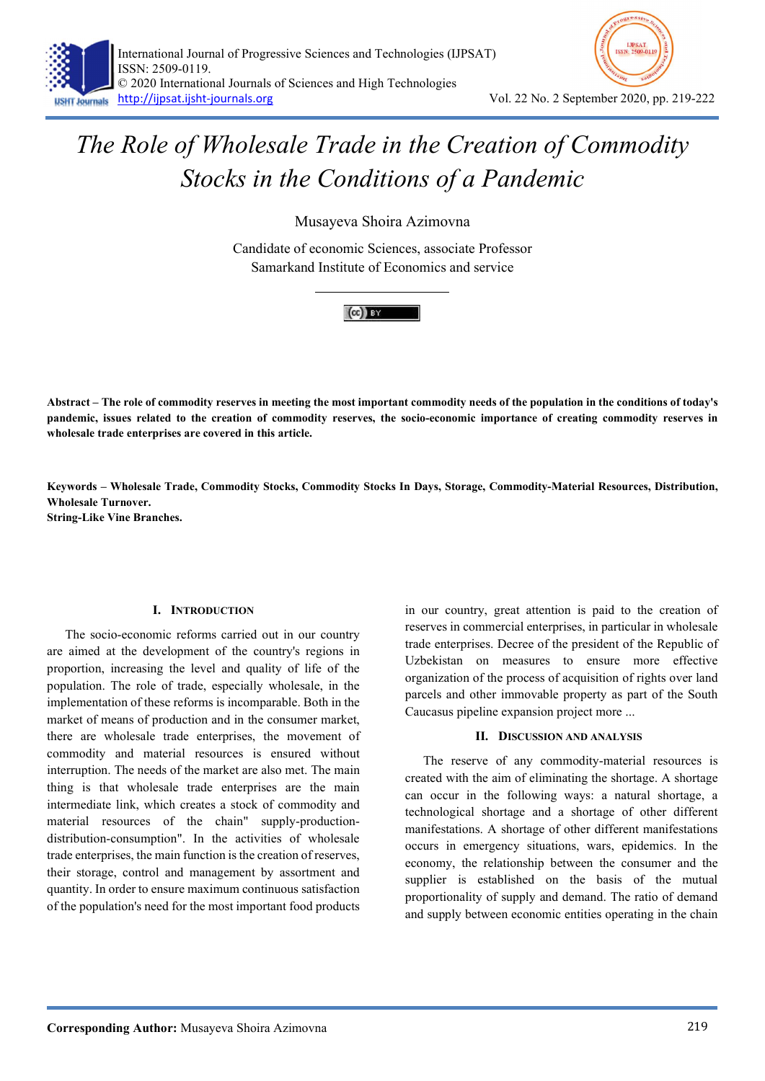



## The Role of Wholesale Trade in the Creation of Commodity Stocks in the Conditions of a Pandemic

Musayeva Shoira Azimovna

Candidate of economic Sciences, associate Professor Samarkand Institute of Economics and service



Abstract – The role of commodity reserves in meeting the most important commodity needs of the population in the conditions of today's pandemic, issues related to the creation of commodity reserves, the socio-economic importance of creating commodity reserves in wholesale trade enterprises are covered in this article.

Keywords – Wholesale Trade, Commodity Stocks, Commodity Stocks In Days, Storage, Commodity-Material Resources, Distribution, Wholesale Turnover.

String-Like Vine Branches.

## I. INTRODUCTION

The socio-economic reforms carried out in our country are aimed at the development of the country's regions in proportion, increasing the level and quality of life of the population. The role of trade, especially wholesale, in the implementation of these reforms is incomparable. Both in the market of means of production and in the consumer market, there are wholesale trade enterprises, the movement of commodity and material resources is ensured without interruption. The needs of the market are also met. The main thing is that wholesale trade enterprises are the main intermediate link, which creates a stock of commodity and material resources of the chain" supply-productiondistribution-consumption". In the activities of wholesale trade enterprises, the main function is the creation of reserves, their storage, control and management by assortment and quantity. In order to ensure maximum continuous satisfaction of the population's need for the most important food products

in our country, great attention is paid to the creation of reserves in commercial enterprises, in particular in wholesale trade enterprises. Decree of the president of the Republic of Uzbekistan on measures to ensure more effective organization of the process of acquisition of rights over land parcels and other immovable property as part of the South Caucasus pipeline expansion project more ...

## II. DISCUSSION AND ANALYSIS

The reserve of any commodity-material resources is created with the aim of eliminating the shortage. A shortage can occur in the following ways: a natural shortage, a technological shortage and a shortage of other different manifestations. A shortage of other different manifestations occurs in emergency situations, wars, epidemics. In the economy, the relationship between the consumer and the supplier is established on the basis of the mutual proportionality of supply and demand. The ratio of demand and supply between economic entities operating in the chain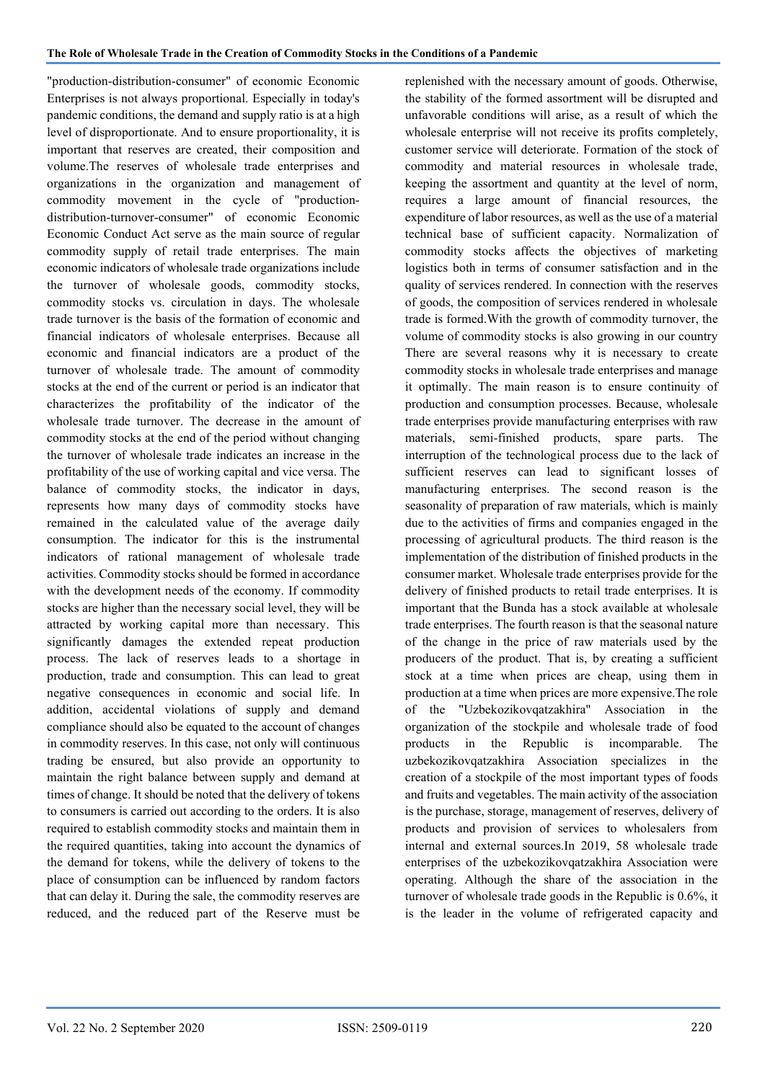"production-distribution-consumer" of economic Economic Enterprises is not always proportional. Especially in today's pandemic conditions, the demand and supply ratio is at a high level of disproportionate. And to ensure proportionality, it is important that reserves are created, their composition and volume.The reserves of wholesale trade enterprises and organizations in the organization and management of commodity movement in the cycle of "productiondistribution-turnover-consumer" of economic Economic Economic Conduct Act serve as the main source of regular commodity supply of retail trade enterprises. The main economic indicators of wholesale trade organizations include the turnover of wholesale goods, commodity stocks, commodity stocks vs. circulation in days. The wholesale trade turnover is the basis of the formation of economic and financial indicators of wholesale enterprises. Because all economic and financial indicators are a product of the turnover of wholesale trade. The amount of commodity stocks at the end of the current or period is an indicator that characterizes the profitability of the indicator of the wholesale trade turnover. The decrease in the amount of commodity stocks at the end of the period without changing the turnover of wholesale trade indicates an increase in the profitability of the use of working capital and vice versa. The balance of commodity stocks, the indicator in days, represents how many days of commodity stocks have remained in the calculated value of the average daily consumption. The indicator for this is the instrumental indicators of rational management of wholesale trade activities. Commodity stocks should be formed in accordance with the development needs of the economy. If commodity stocks are higher than the necessary social level, they will be attracted by working capital more than necessary. This significantly damages the extended repeat production process. The lack of reserves leads to a shortage in production, trade and consumption. This can lead to great negative consequences in economic and social life. In addition, accidental violations of supply and demand compliance should also be equated to the account of changes in commodity reserves. In this case, not only will continuous trading be ensured, but also provide an opportunity to maintain the right balance between supply and demand at times of change. It should be noted that the delivery of tokens to consumers is carried out according to the orders. It is also required to establish commodity stocks and maintain them in the required quantities, taking into account the dynamics of the demand for tokens, while the delivery of tokens to the place of consumption can be influenced by random factors that can delay it. During the sale, the commodity reserves are reduced, and the reduced part of the Reserve must be

replenished with the necessary amount of goods. Otherwise, the stability of the formed assortment will be disrupted and unfavorable conditions will arise, as a result of which the wholesale enterprise will not receive its profits completely, customer service will deteriorate. Formation of the stock of commodity and material resources in wholesale trade, keeping the assortment and quantity at the level of norm, requires a large amount of financial resources, the expenditure of labor resources, as well as the use of a material technical base of sufficient capacity. Normalization of commodity stocks affects the objectives of marketing logistics both in terms of consumer satisfaction and in the quality of services rendered. In connection with the reserves of goods, the composition of services rendered in wholesale trade is formed.With the growth of commodity turnover, the volume of commodity stocks is also growing in our country There are several reasons why it is necessary to create commodity stocks in wholesale trade enterprises and manage it optimally. The main reason is to ensure continuity of production and consumption processes. Because, wholesale trade enterprises provide manufacturing enterprises with raw materials, semi-finished products, spare parts. The interruption of the technological process due to the lack of sufficient reserves can lead to significant losses of manufacturing enterprises. The second reason is the seasonality of preparation of raw materials, which is mainly due to the activities of firms and companies engaged in the processing of agricultural products. The third reason is the implementation of the distribution of finished products in the consumer market. Wholesale trade enterprises provide for the delivery of finished products to retail trade enterprises. It is important that the Bunda has a stock available at wholesale trade enterprises. The fourth reason is that the seasonal nature of the change in the price of raw materials used by the producers of the product. That is, by creating a sufficient stock at a time when prices are cheap, using them in production at a time when prices are more expensive.The role of the "Uzbekozikovqatzakhira" Association in the organization of the stockpile and wholesale trade of food products in the Republic is incomparable. The uzbekozikovqatzakhira Association specializes in the creation of a stockpile of the most important types of foods and fruits and vegetables. The main activity of the association is the purchase, storage, management of reserves, delivery of products and provision of services to wholesalers from internal and external sources.In 2019, 58 wholesale trade enterprises of the uzbekozikovqatzakhira Association were operating. Although the share of the association in the turnover of wholesale trade goods in the Republic is 0.6%, it is the leader in the volume of refrigerated capacity and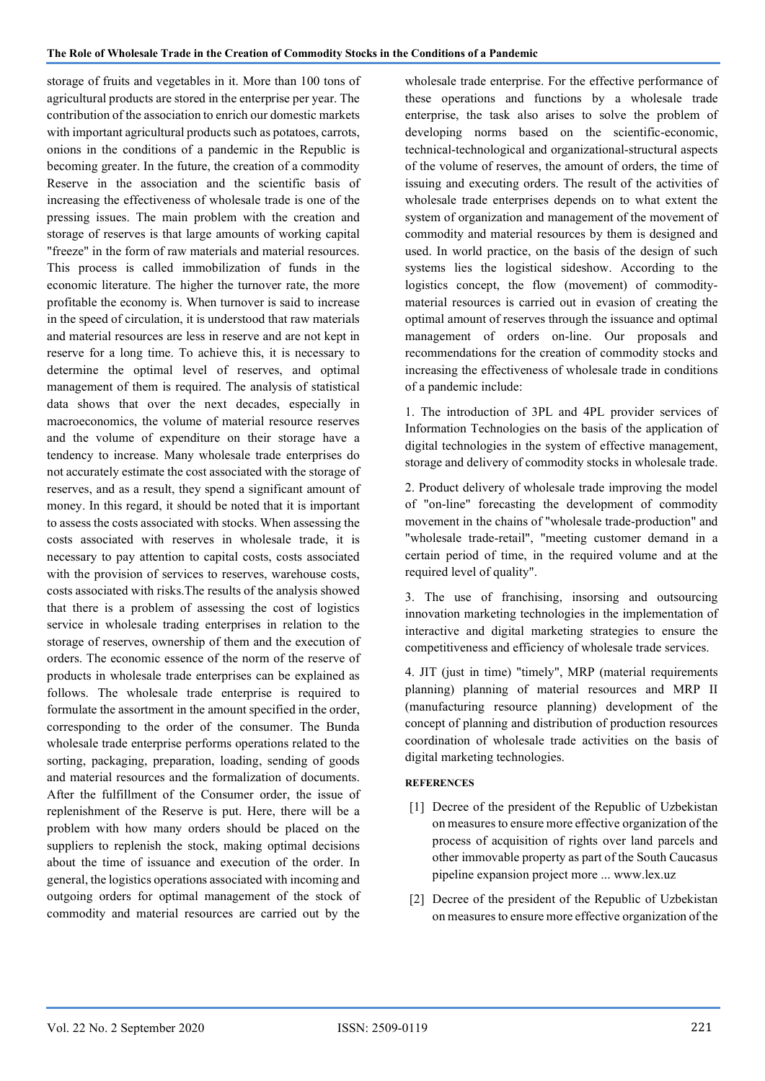storage of fruits and vegetables in it. More than 100 tons of agricultural products are stored in the enterprise per year. The contribution of the association to enrich our domestic markets with important agricultural products such as potatoes, carrots, onions in the conditions of a pandemic in the Republic is becoming greater. In the future, the creation of a commodity Reserve in the association and the scientific basis of increasing the effectiveness of wholesale trade is one of the pressing issues. The main problem with the creation and storage of reserves is that large amounts of working capital "freeze" in the form of raw materials and material resources. This process is called immobilization of funds in the economic literature. The higher the turnover rate, the more profitable the economy is. When turnover is said to increase in the speed of circulation, it is understood that raw materials and material resources are less in reserve and are not kept in reserve for a long time. To achieve this, it is necessary to determine the optimal level of reserves, and optimal management of them is required. The analysis of statistical data shows that over the next decades, especially in macroeconomics, the volume of material resource reserves and the volume of expenditure on their storage have a tendency to increase. Many wholesale trade enterprises do not accurately estimate the cost associated with the storage of reserves, and as a result, they spend a significant amount of money. In this regard, it should be noted that it is important to assess the costs associated with stocks. When assessing the costs associated with reserves in wholesale trade, it is necessary to pay attention to capital costs, costs associated with the provision of services to reserves, warehouse costs, costs associated with risks.The results of the analysis showed that there is a problem of assessing the cost of logistics service in wholesale trading enterprises in relation to the storage of reserves, ownership of them and the execution of orders. The economic essence of the norm of the reserve of products in wholesale trade enterprises can be explained as follows. The wholesale trade enterprise is required to formulate the assortment in the amount specified in the order, corresponding to the order of the consumer. The Bunda wholesale trade enterprise performs operations related to the sorting, packaging, preparation, loading, sending of goods and material resources and the formalization of documents. After the fulfillment of the Consumer order, the issue of replenishment of the Reserve is put. Here, there will be a problem with how many orders should be placed on the suppliers to replenish the stock, making optimal decisions about the time of issuance and execution of the order. In general, the logistics operations associated with incoming and outgoing orders for optimal management of the stock of commodity and material resources are carried out by the

wholesale trade enterprise. For the effective performance of these operations and functions by a wholesale trade enterprise, the task also arises to solve the problem of developing norms based on the scientific-economic, technical-technological and organizational-structural aspects of the volume of reserves, the amount of orders, the time of issuing and executing orders. The result of the activities of wholesale trade enterprises depends on to what extent the system of organization and management of the movement of commodity and material resources by them is designed and used. In world practice, on the basis of the design of such systems lies the logistical sideshow. According to the logistics concept, the flow (movement) of commoditymaterial resources is carried out in evasion of creating the optimal amount of reserves through the issuance and optimal management of orders on-line. Our proposals and recommendations for the creation of commodity stocks and increasing the effectiveness of wholesale trade in conditions of a pandemic include:

1. The introduction of 3PL and 4PL provider services of Information Technologies on the basis of the application of digital technologies in the system of effective management, storage and delivery of commodity stocks in wholesale trade.

2. Product delivery of wholesale trade improving the model of "on-line" forecasting the development of commodity movement in the chains of "wholesale trade-production" and "wholesale trade-retail", "meeting customer demand in a certain period of time, in the required volume and at the required level of quality".

3. The use of franchising, insorsing and outsourcing innovation marketing technologies in the implementation of interactive and digital marketing strategies to ensure the competitiveness and efficiency of wholesale trade services.

4. JIT (just in time) "timely", MRP (material requirements planning) planning of material resources and MRP II (manufacturing resource planning) development of the concept of planning and distribution of production resources coordination of wholesale trade activities on the basis of digital marketing technologies.

## **REFERENCES**

- [1] Decree of the president of the Republic of Uzbekistan on measures to ensure more effective organization of the process of acquisition of rights over land parcels and other immovable property as part of the South Caucasus pipeline expansion project more ... www.lex.uz
- [2] Decree of the president of the Republic of Uzbekistan on measures to ensure more effective organization of the